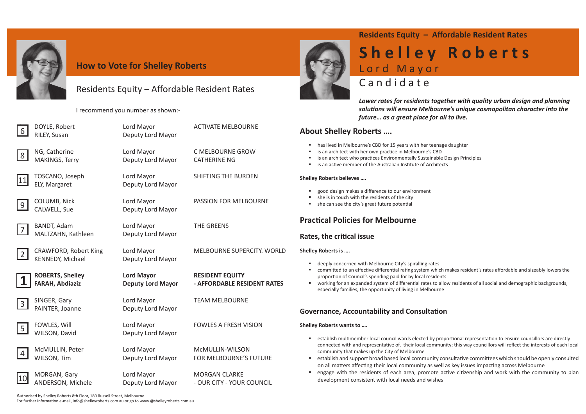

#### **How to Vote for Shelley Roberts**

### Residents Equity - Affordable Resident Rates

I recommend you number as shown:-

MAKINGS, Terry Deputy Lord Mayor CATHERINE NG

**BANDT, Adam Lord Mayor CONSERVING MANUS** Lord Mayor THE GREENS MALTZAHN, Kathleen Deputy Lord Mayor

ELY, Margaret Deputy Lord Mayor

CALWELL, Sue Deputy Lord Mayor

ROBERTS, Shelley **1 Lord Mayor** RESIDENT EQUITY

SINGER, Gary **Lord Mayor** CINGER, Gary **Lord Mayor** TEAM MELBOURNE PAINTER, Joanne Deputy Lord Mayor

WILSON, David Deputy Lord Mayor

- McMULLIN, Peter Lord Mayor McMULLIN-WILSON
	-

DOYLE, Robert **Lord Mayor** ACTIVATE MELBOURNE

NG, Catherine Lord Mayor C MELBOURNE GROW

TOSCANO, Joseph Lord Mayor SHIFTING THE BURDEN

9 COLUMB, Nick Lord Mayor PASSION FOR MELBOURNE

Authorised by Shelley Roberts 8th Floor, 180 Russell Street, Melbourne For further information e-mail, info@shelleyroberts.com.au or go to www.@shelleyroberts.com.au

## **Residents Equity – Affordable Resident Rates** Shelley Roberts

committed to an effective differential rating system which makes resident's rates affordable and sizeably lowers the

connected with and representative of, their local community; this way councillors will reflect the interests of each local

establish and support broad based local community consultative committees which should be openly consulted **E** engage with the residents of each area, promote active citizenship and work with the community to plan

2 CRAWFORD, Robert King Lord Mayor MELBOURNE SUPERCITY. WORLD

**FARAH, Abdiaziz Deputy Lord Mayor - AFFORDABLE RESIDENT RATES**

FOWLES, Will **EXAMPLE LORD MAYOR CONCRETE A FRESH VISION** 

WILSON, Tim Deputy Lord Mayor FOR MELBOURNE'S FUTURE

ANDERSON, Michele **Deputy Lord Mayor** - OUR CITY - YOUR COUNCIL





8



9





KENNEDY, Michael Deputy Lord Mayor



3



4



10 MORGAN, Gary **Lord Mayor** MORGAN CLARKE

RILEY, Susan Deputy Lord Mayor

# L o r d M a y o r C a n d i d a t e

*Lower rates for residents together with quality urban design and planning soluti ons will ensure Melbourne's unique cosmopolitan character into the future… as a great place for all to live.* 

#### **About Shelley Roberts ….**

- **has lived in Melbourne's CBD for 15 years with her teenage daughter**
- **EXECT:** is an architect with her own practice in Melbourne's CBD
- **EXEDENT IS an architect who practices Environmentally Sustainable Design Principles**
- $\blacksquare$  is an active member of the Australian Institute of Architects

- establish multimember local council wards elected by proportional representation to ensure councillors are directly community that makes up the City of Melbourne
- on all matters affecting their local community as well as key issues impacting across Melbourne
- development consistent with local needs and wishes

#### **Shelley Roberts believes ….**

- good design makes a difference to our environment
- she is in touch with the residents of the city
- she can see the city's great future potential

## **Practi cal Policies for Melbourne**

#### **Rates, the critical issue**

#### **Shelley Roberts is ….**

- deeply concerned with Melbourne City's spiralling rates
- proportion of Council's spending paid for by local residents
- working for an expanded system of differential rates to allow residents of all social and demographic backgrounds, especially families, the opportunity of living in Melbourne

#### **Governance, Accountability and Consultati on**

**Shelley Roberts wants to ….**